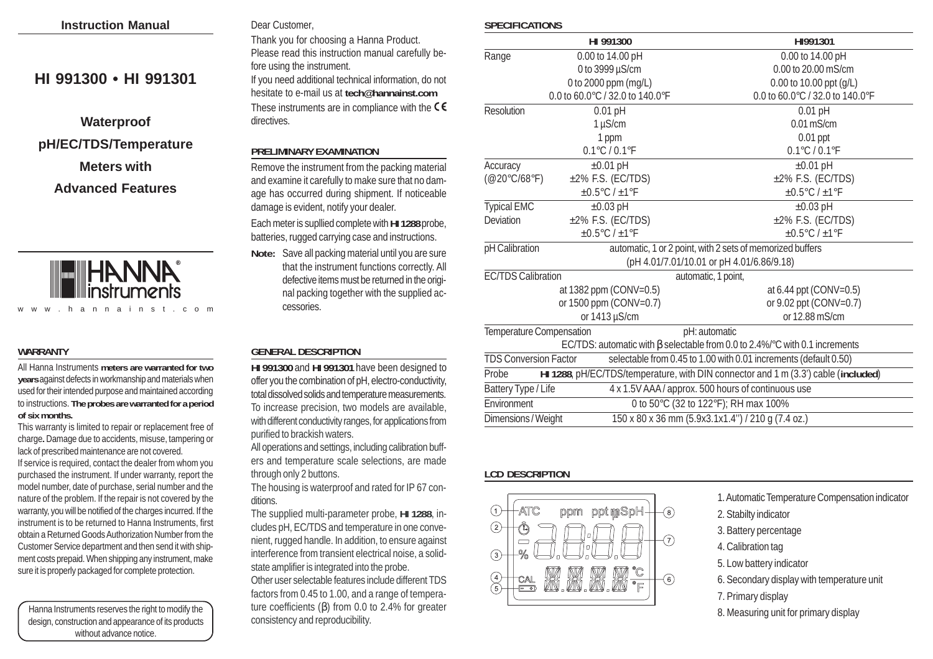| <b>Instruction Manual</b> |  |
|---------------------------|--|
|                           |  |

# **HI 991300 • HI 991301**

# **Waterproof pH/EC/TDS/Temperature Meters with Advanced Features**



#### **WARRANTY**

All Hanna Instruments **meters are warranted for two years** against defects in workmanship and materials when used for their intended purpose and maintained according to instructions. **The probes are warranted for a period of six months.**

This warranty is limited to repair or replacement free of charge**.** Damage due to accidents, misuse, tampering or lack of prescribed maintenance are not covered. If service is required, contact the dealer from whom you purchased the instrument. If under warranty, report the model number, date of purchase, serial number and the nature of the problem. If the repair is not covered by the warranty, you will be notified of the charges incurred. If the instrument is to be returned to Hanna Instruments, first obtain a Returned Goods Authorization Number from the Customer Service department and then send it with shipment costs prepaid. When shipping any instrument, make sure it is properly packaged for complete protection.

Hanna Instruments reserves the right to modify the design, construction and appearance of its products without advance notice.

# Dear Customer,

Thank you for choosing a Hanna Product. Please read this instruction manual carefully before using the instrument. If you need additional technical information, do not hesitate to e-mail us at **tech@hannainst.com** These instruments are in compliance with the  $\zeta \epsilon$ directives.

#### **PRELIMINARY EXAMINATION**

Remove the instrument from the packing material and examine it carefully to make sure that no damage has occurred during shipment. If noticeable damage is evident, notify your dealer.

Each meter is supllied complete with **HI 1288** probe, batteries, rugged carrying case and instructions.

**Note:** Save all packing material until you are sure that the instrument functions correctly. All defective items must be returned in the original packing together with the supplied accessories.

#### **GENERAL DESCRIPTION**

**HI 991300** and **HI 991301** have been designed to offer you the combination of pH, electro-conductivity, total dissolved solids and temperature measurements. To increase precision, two models are available, with different conductivity ranges, for applications from purified to brackish waters.

All operations and settings, including calibration buffers and temperature scale selections, are made through only 2 buttons.

The housing is waterproof and rated for IP 67 conditions.

The supplied multi-parameter probe, **HI 1288**, includes pH, EC/TDS and temperature in one convenient, rugged handle. In addition, to ensure against interference from transient electrical noise, a solidstate amplifier is integrated into the probe. Other user selectable features include different TDS factors from 0.45 to 1.00, and a range of temperature coefficients (β) from 0.0 to 2.4% for greater consistency and reproducibility.

#### **SPECIFICATIONS**

|                                                                                             | HI 991300                         | HI991301                                                                          |  |  |
|---------------------------------------------------------------------------------------------|-----------------------------------|-----------------------------------------------------------------------------------|--|--|
| Range                                                                                       | 0.00 to 14.00 pH                  | 0.00 to 14.00 pH                                                                  |  |  |
|                                                                                             | 0 to 3999 µS/cm                   | 0.00 to 20.00 mS/cm                                                               |  |  |
|                                                                                             | 0 to 2000 ppm (mg/L)              | 0.00 to 10.00 ppt (g/L)                                                           |  |  |
|                                                                                             | 0.0 to 60.0°C / 32.0 to 140.0°F   | 0.0 to 60.0°C / 32.0 to 140.0°F                                                   |  |  |
| Resolution                                                                                  | $0.01$ pH                         | $0.01$ pH                                                                         |  |  |
|                                                                                             | $1 \mu$ S/cm                      | $0.01$ mS/cm                                                                      |  |  |
|                                                                                             | 1 ppm                             | $0.01$ ppt                                                                        |  |  |
|                                                                                             | $0.1^{\circ}$ C / $0.1^{\circ}$ F | $0.1^{\circ}$ C / $0.1^{\circ}$ F                                                 |  |  |
| Accuracy                                                                                    | $\pm 0.01$ pH                     | $±0.01$ pH                                                                        |  |  |
| $(\text{@} 20^{\circ}$ C/68°F)                                                              | ±2% F.S. (EC/TDS)                 | $±2\%$ F.S. (EC/TDS)                                                              |  |  |
|                                                                                             | $\pm 0.5$ °C / $\pm 1$ °F         | $\pm 0.5$ °C / $\pm 1$ °F                                                         |  |  |
| <b>Typical EMC</b>                                                                          | $\pm 0.03$ pH                     | $±0.03$ pH                                                                        |  |  |
| Deviation                                                                                   | ±2% F.S. (EC/TDS)                 | $±2\%$ F.S. (EC/TDS)                                                              |  |  |
|                                                                                             | ±0.5°C / ±1°F                     | $\pm 0.5$ °C / $\pm 1$ °F                                                         |  |  |
| pH Calibration                                                                              |                                   | automatic, 1 or 2 point, with 2 sets of memorized buffers                         |  |  |
|                                                                                             |                                   | (pH 4.01/7.01/10.01 or pH 4.01/6.86/9.18)                                         |  |  |
| <b>EC/TDS Calibration</b><br>automatic, 1 point,                                            |                                   |                                                                                   |  |  |
| at 1382 ppm (CONV=0.5)                                                                      |                                   | at 6.44 ppt (CONV=0.5)                                                            |  |  |
| or 1500 ppm (CONV=0.7)                                                                      |                                   | or 9.02 ppt (CONV=0.7)                                                            |  |  |
| or 1413 µS/cm                                                                               |                                   | or 12.88 mS/cm                                                                    |  |  |
| Temperature Compensation<br>pH: automatic                                                   |                                   |                                                                                   |  |  |
|                                                                                             |                                   | EC/TDS: automatic with $\beta$ selectable from 0.0 to 2.4%/°C with 0.1 increments |  |  |
| <b>TDS Conversion Factor</b>                                                                |                                   | selectable from 0.45 to 1.00 with 0.01 increments (default 0.50)                  |  |  |
| HI 1288, pH/EC/TDS/temperature, with DIN connector and 1 m (3.3') cable (included)<br>Probe |                                   |                                                                                   |  |  |
| Battery Type / Life                                                                         |                                   | 4 x 1.5V AAA / approx. 500 hours of continuous use                                |  |  |
| Environment                                                                                 |                                   | 0 to 50°C (32 to 122°F); RH max 100%                                              |  |  |
| Dimensions / Weight                                                                         |                                   | 150 x 80 x 36 mm (5.9x3.1x1.4") / 210 g (7.4 oz.)                                 |  |  |

### **LCD DESCRIPTION**



1. Automatic Temperature Compensation indicator

- 2. Stabilty indicator
- 3. Battery percentage
- 4. Calibration tag
- 5. Low battery indicator
- 6. Secondary display with temperature unit
- 7. Primary display
- 8. Measuring unit for primary display